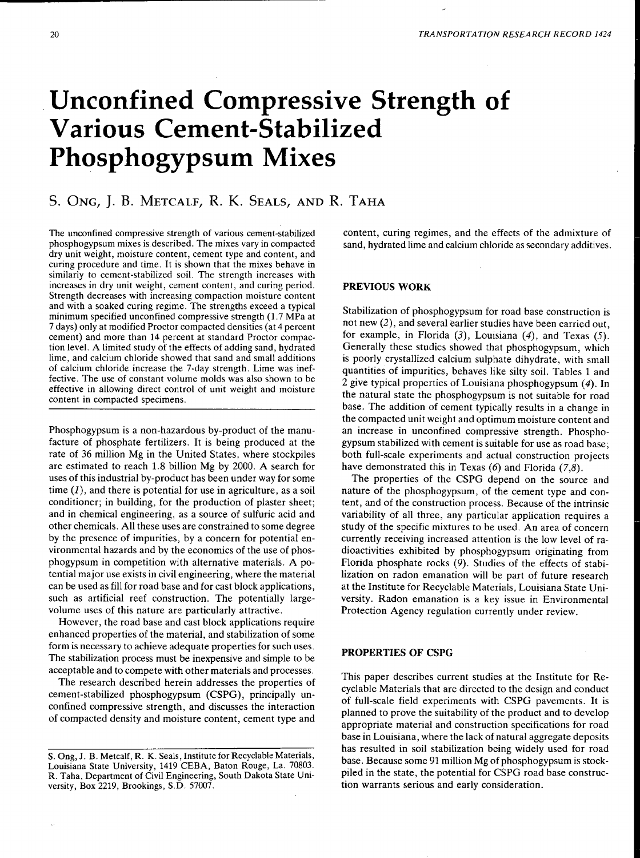# Unconfined Compressive Strength of **Various Cement-Stabilized**  Phosphogypsum Mixes

# S. ONG, J. B. METCALF, R. K. SEALS, AND R. TAHA

The unconfined compressive strength of various cement-stabilized phosphogypsum mixes is described. The mixes vary in compacted dry unit weight, moisture content, cement type and content, and curing procedure and time. It is shown that the mixes behave in similarly to cement-stabilized soil. The strength increases with increases in dry unit weight, cement content, and curing period. Strength decreases with increasing compaction moisture content and with a soaked curing regime. The strengths exceed a typical minimum specified unconfined compressive strength (1.7 MPa at 7 days) only at modified Proctor compacted densities (at 4 percent cement) and more than 14 percent at standard Proctor compaction level. A limited study of the effects of adding sand, hydrated lime, and calcium chloride showed that sand and small additions of calcium chloride increase the 7-day strength. Lime was ineffective. The use of constant volume molds was also shown to be effective in allowing direct control of unit weight and moisture content in compacted specimens.

Phosphogypsum is a non-hazardous by-product of the manufacture of phosphate fertilizers. It is being produced at the rate of 36 million Mg in the United States, where stockpiles are estimated to reach 1.8 billion Mg by 2000. A search for uses of this industrial by-product has been under way for some time  $(I)$ , and there is potential for use in agriculture, as a soil conditioner; in building, for the production of plaster sheet; and in chemical engineering, as a source of sulfuric acid and other chemicals. All these uses are constrained to some degree by the presence of impurities, by a concern for potential environmental hazards and by the economics of the use of phosphogypsum in competition with alternative materials. A potential major use exists in civil engineering, where the material can be used as fill for road base and for cast block applications, such as artificial reef construction. The potentially largevolume uses of this nature are particularly attractive.

However, the road base and cast block applications require enhanced properties of the material, and stabilization of some form is necessary to achieve adequate properties for such uses. The stabilization process must be inexpensive and simple to be acceptable and to compete with other materials and processes.

The research described herein addresses the properties of cement-stabilized phosphogypsum (CSPG), principally unconfined compressive strength, and discusses the interaction of compacted density and moisture content, cement type and content, curing regimes, and the effects of the admixture of sand, hydrated lime and calcium chloride as secondary additives.

# PREVIOUS WORK

Stabilization of phosphogypsum for road base construction is not new (2), and several earlier studies have been carried out, for example, in Florida  $(3)$ , Louisiana  $(4)$ , and Texas  $(5)$ . Generally these studies showed that phosphogypsum, which is poorly crystallized calcium sulphate dihydrate, with small quantities of impurities, behaves like silty soil. Tables 1 and 2 give typical properties of Louisiana phosphogypsum (4). In the natural state the phosphogypsum is not suitable for road base. The addition of cement typically results in a change in the compacted unit weight and optimum moisture content and an increase in unconfined compressive strength. Phosphogypsum stabilized with cement is suitable for use as road base; both full-scale experiments and actual construction projects have demonstrated this in Texas  $(6)$  and Florida  $(7,8)$ .

The properties of the CSPG depend on the source and nature of the phosphogypsum, of the cement type and content, and of the construction process. Because of the intrinsic variability of all three, any particular application requires a study of the specific mixtures to be used. An area of concern currently receiving increased attention is the low level of radioactivities exhibited by phosphogypsum originating from Florida phosphate rocks (9). Studies of the effects of stabilization on radon emanation will be part of future research at the Institute for Recyclable Materials, Louisiana State University. Radon emanation is a key issue in Environmental Protection Agency regulation currently under review.

# PROPERTIES OF CSPG

This paper describes current studies at the Institute for Recyclable Materials that are directed to the design and conduct of full-scale field experiments with CSPG pavements. It is planned to prove the suitability of the product and to develop appropriate material and construction specifications for road base in Louisiana, where the lack of natural aggregate deposits has resulted in soil stabilization being widely used for road base. Because some 91 million Mg of phosphogypsum is stockpiled in the state, the potential for CSPG road base construction warrants serious and early consideration.

S. Ong, J. B. Metcalf, R. K. Seals, Institute for Recyclable Materials, Louisiana State University, 1419 CEBA, Baton Rouge, La. 70803. R. Taha, Department of Civil Engineering, South Dakota State University, Box 2219, Brookings, S.D. 57007.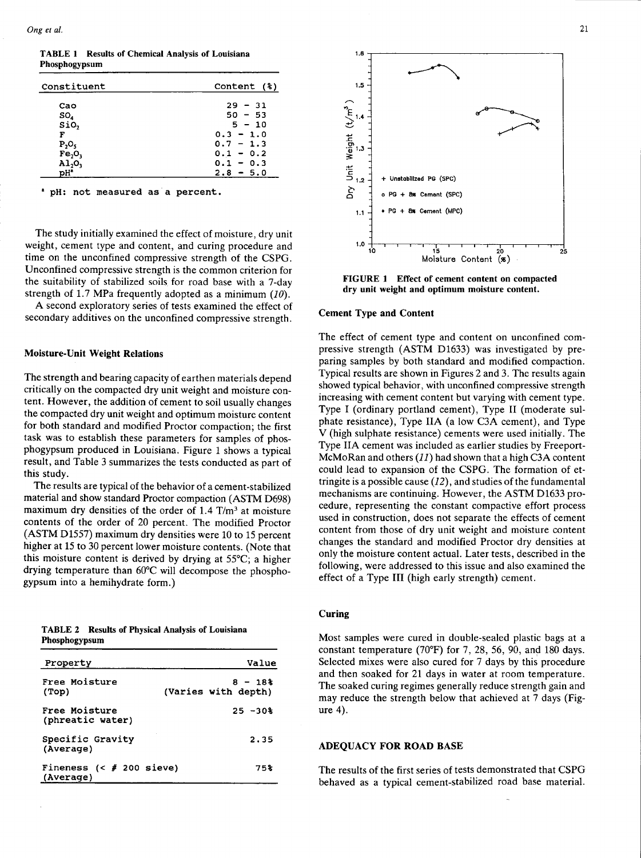TABLE 1 Results of Chemical Analysis of Louisiana Phosphogypsum

| Constituent                    | Content (%) |
|--------------------------------|-------------|
| Cao                            | $29 - 31$   |
| SO,                            | $50 - 53$   |
| SiO,                           | $5 - 10$    |
| F                              | $0.3 - 1.0$ |
| $P_2O_5$                       | $0.7 - 1.3$ |
| Fe <sub>2</sub> O <sub>3</sub> | $0.1 - 0.2$ |
| A1,0                           | $0.1 - 0.3$ |
| pHª                            | $2.8 - 5.0$ |

• pH: not measured as a percent.

The study initially examined the effect of moisture, dry unit weight, cement type and content, and curing procedure and time on the unconfined compressive strength of the CSPG. Unconfined compressive strength is the common criterion for the suitability of stabilized soils for road base with a 7-day strength of 1.7 MPa frequently adopted as a minimum  $(10)$ .

A second exploratory series of tests examined the effect of secondary additives on the unconfined compressive strength.

### Moisture-Unit Weight Relations

The strength and bearing capacity of earthen materials depend critically on the compacted dry unit weight and moisture content. However, the addition of cement to soil usually changes the compacted dry unit weight and optimum moisture content for both standard and modified Proctor compaction; the first task was to establish these parameters for samples of phosphogypsum produced in Louisiana. Figure 1 shows a typical result, and Table 3 summarizes the tests conducted as part of this study.

The results are typical of the behavior of a cement-stabilized material and show standard Proctor compaction (ASTM D698) maximum dry densities of the order of  $1.4$  T/m<sup>3</sup> at moisture contents of the order of 20 percent. The modified Proctor  $(ASTM D1557)$  maximum dry densities were 10 to 15 percent higher at 15 to 30 percent lower moisture contents. (Note that this moisture content is derived by drying at 55°C; a higher drymg temperature than 60°C will decompose the phosphogypsum into a hemihydrate form.)

| <b>TABLE 2</b> Results of Physical Analysis of Louisiana |  |  |  |
|----------------------------------------------------------|--|--|--|
| Phosphogypsum                                            |  |  |  |

| Property                              | Value                           |
|---------------------------------------|---------------------------------|
| Free Moisture<br>(Top)                | $8 - 18$<br>(Varies with depth) |
| Free Moisture<br>(phreatic water)     | $25 - 30%$                      |
| Specific Gravity<br>(Average)         | 2.35                            |
| Fineness $(# 200 sieve)$<br>(Average) | 75%                             |



FIGURE 1 Effect of cement content on compacted dry unit weight and optimum moisture content.

#### Cement Type and Content

The effect of cement type and content on unconfined compressive strength (ASTM D1633) was investigated by preparing samples by both standard and modified compaction. Typical results are shown in Figures 2 and 3. The results again showed typical behavior, with unconfined compressive strength increasing with cement content but varying with cement type. Type I (ordinary portland cement), Type II (moderate sulphate resistance), Type IIA (a low C3A cement), and Type V (high sulphate resistance) cements were used initially. The Type IIA cement was included as earlier studies by Freeport-McMoRan and others (11) had shown that a high C3A content could lead to expansion of the CSPG. The formation of ettringite is a possible cause  $(12)$ , and studies of the fundamental mechanisms are continuing. However, the ASTM D1633 procedure, representing the constant compactive effort process used in construction, does not separate the effects of cement content from those of dry unit weight and moisture content changes the standard and modified Proctor dry densities at only the moisture content actual. Later tests, described in the following, were addressed to this issue and also examined the effect of a Type III (high early strength) cement.

## Curing

Most samples were cured in double-sealed plastic bags at a constant temperature (70°F) for 7, 28, 56, 90, and 180 days. Selected mixes were also cured for 7 days by this procedure and then soaked for 21 days in water at room temperature. The soaked curing regimes generally reduce strength gain and may reduce the strength below that achieved at 7 days (Figure 4).

#### ADEQUACY FOR ROAD BASE

The results of the first series of tests demonstrated that CSPG behaved as a typical cement-stabilized road base material.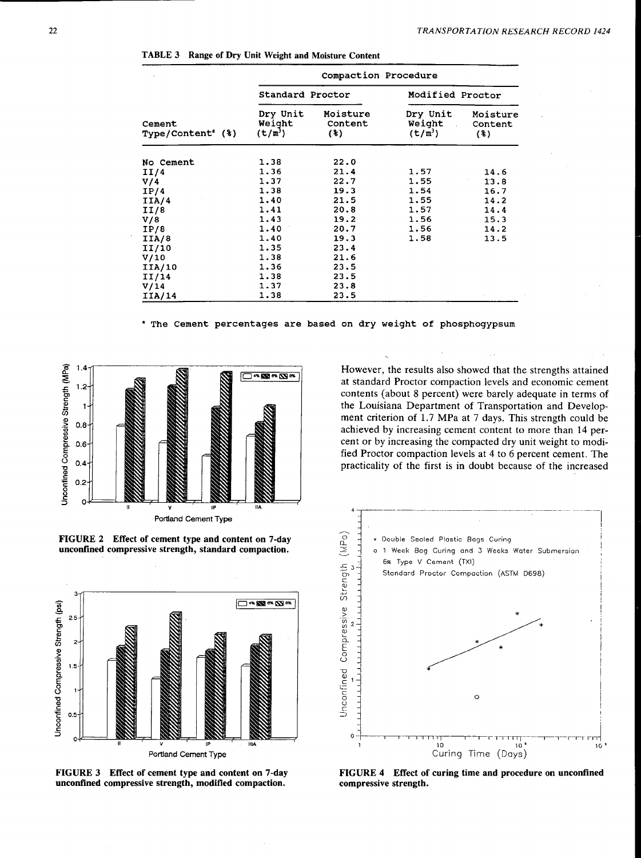TABLE 3 Range of Dry Unit Weight and Moisture Content

| Cement<br>Type/Content <sup>®</sup> (%) | Compaction Procedure                      |                            |                                 |                              |  |  |
|-----------------------------------------|-------------------------------------------|----------------------------|---------------------------------|------------------------------|--|--|
|                                         | Standard Proctor                          |                            | Modified Proctor                |                              |  |  |
|                                         | Dry Unit<br>Weight<br>(t/m <sup>3</sup> ) | Moisture<br>Content<br>(3) | Dry Unit<br>Weight<br>$(t/m^3)$ | Moisture<br>Content<br>$(*)$ |  |  |
| No Cement                               | 1.38                                      | 22.0                       |                                 |                              |  |  |
| II/4                                    | 1.36                                      | 21.4                       | 1.57                            | 14.6                         |  |  |
| V/4                                     | 1.37                                      | 22.7                       | 1.55                            | 13.8                         |  |  |
| IP/4                                    | 1.38                                      | 19.3                       | 1.54                            | 16.7                         |  |  |
| IIA/4                                   | 1.40                                      | 21.5                       | 1.55                            | 14.2                         |  |  |
| II/8                                    | 1.41                                      | 20.8                       | 1.57                            | 14.4                         |  |  |
| V/8                                     | 1.43                                      | 19.2                       | 1.56                            | 15.3                         |  |  |
| IP/8                                    | 1.40                                      | 20.7                       | 1.56                            | 14.2                         |  |  |
| IIA/8                                   | 1.40                                      | 19.3                       | 1.58                            | 13.5                         |  |  |
| II/10                                   | 1.35                                      | 23.4                       |                                 |                              |  |  |
| V/10                                    | 1.38                                      | 21.6                       |                                 |                              |  |  |
| IIA/10                                  | 1.36                                      | 23.5                       |                                 |                              |  |  |
| II/14                                   | 1.38                                      | 23.5                       |                                 |                              |  |  |
| V/14                                    | 1.37                                      | 23.8                       |                                 |                              |  |  |
| IIA/14                                  | 1.38                                      | 23.5                       |                                 |                              |  |  |

\* The Cement percentages are based on dry weight of phosphogypsum







FIGURE 3 Effect of cement type and content on 7-day unconfined compressive strength, modified compaction.

However, the results also showed that the strengths attained at standard Proctor compaction levels and economic cement contents (about 8 percent) were barely adequate in terms of the Louisiana Department of Transportation and Development criterion of 1.7 MPa at 7 days. This strength could be achieved by increasing cement content to more than 14 percent or by increasing the compacted dry unit weight to modified Proctor compaction levels at 4 to 6 percent cement. The practicality of the first is in doubt because of the increased



FIGURE 4 Effect of curing time and procedure on unconfined compressive strength.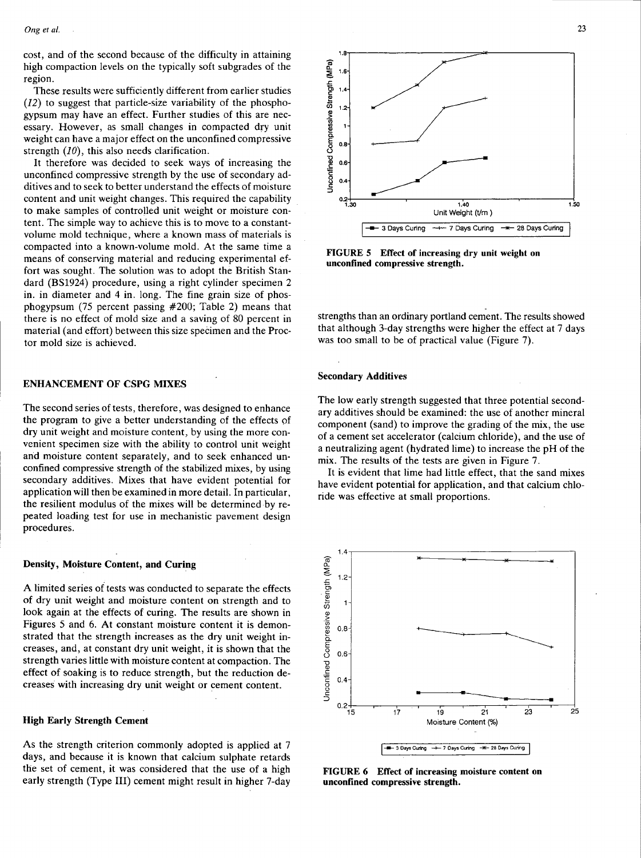cost, and of the second because of the difficulty in attaining high compaction levels on the typically soft subgrades of the region.

These results were sufficiently different from earlier studies (12) to suggest that particle-size variability of the phosphogypsum may have an effect. Further studies of this are necessary. However, as small changes in compacted dry unit weight can have a major effect on the unconfined compressive strength  $(10)$ , this also needs clarification.

It therefore was decided to seek ways of increasing the unconfined compressive strength by the use of secondary additives and to seek to better understand the effects of moisture content and unit weight changes. This required the capability to make samples of controlled unit weight or moisture content. The simple way to achieve this is to move to a constantvolume mold technique, where a known mass of materials is compacted into a known-volume mold. At the same time a means of conserving material and reducing experimental effort was sought. The solution was to adopt the British Standard (BS1924) procedure, using a right cylinder specimen 2 in. in diameter and 4 in. long. The fine grain size of phosphogypsum (75 percent passing #200; Table 2) means that there is no effect of mold size and a saving of 80 percent in material (and effort) between this size specimen and the Proctor mold size is achieved.

#### ENHANCEMENT OF CSPG MIXES

The second series of tests, therefore, was designed to enhance the program to give a better understanding of the effects of dry unit weight and moisture content, by using the more convenient specimen size with the ability to control unit weight and moisture content separately, and to seek enhanced unconfined compressive strength of the stabilized mixes, by using secondary additives. Mixes that have evident potential for application will then be examined in more detail. In particular, the resilient modulus of the mixes will be determined by repeated loading test for use in mechanistic pavement design procedures.

#### Density, Moisture Content, and Curing

A limited series of tests was conducted to separate the effects of dry unit weight and moisture content on strength and to look again at the effects of curing. The results are shown in Figures 5 and 6. At constant moisture content it is demonstrated that the strength increases as the dry unit weight increases, and, at constant dry unit weight, it is shown that the strength varies little with moisture content at compaction. The effect of soaking is to reduce strength, but the reduction decreases with increasing dry unit weight or cement content.

#### High Early Strength Cement

As the strength criterion commonly adopted is applied at 7 days, and because it is known that calcium sulphate retards the set of cement, it was considered that the use of a high early strength (Type III) cement might result in higher 7-day



FIGURE 5 Effect of increasing dry unit weight on unconfined compressive strength.

strengths than an ordinary portland cement. The results showed that although 3-day strengths were higher the effect at 7 days was too small to be of practical value (Figure 7).

#### Secondary Additives

The low early strength suggested that three potential secondary additives should be examined: the use of another mineral component (sand) to improve the grading of the mix, the use of a cement set accelerator (calcium chloride), and the use of a neutralizing agent (hydrated lime) to increase the pH of the mix. The results of the tests are given in Figure 7.

It is evident that lime had little effect, that the sand mixes have evident potential for application, and that calcium chloride was effective at small proportions.



FIGURE 6 Effect of increasing moisture content on unconfined compressive strength.